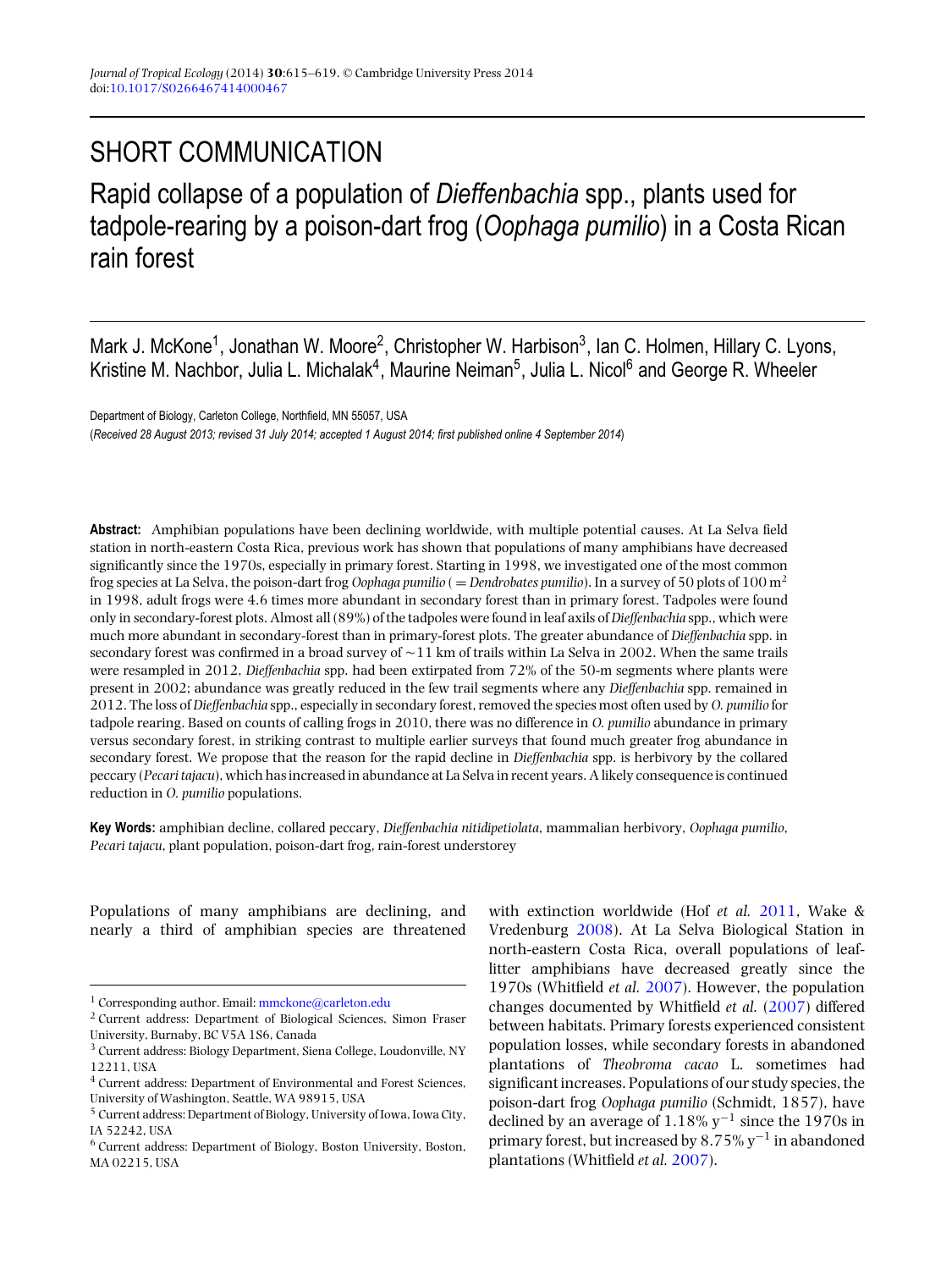## SHORT COMMUNICATION

Rapid collapse of a population of *Dieffenbachia* spp., plants used for tadpole-rearing by a poison-dart frog (*Oophaga pumilio*) in a Costa Rican rain forest

Mark J. McKone<sup>1</sup>, Jonathan W. Moore<sup>2</sup>, Christopher W. Harbison<sup>3</sup>, Ian C. Holmen, Hillary C. Lyons, Kristine M. Nachbor, Julia L. Michalak<sup>4</sup>, Maurine Neiman<sup>5</sup>, Julia L. Nicol<sup>6</sup> and George R. Wheeler

Department of Biology, Carleton College, Northfield, MN 55057, USA (*Received 28 August 2013; revised 31 July 2014; accepted 1 August 2014; first published online 4 September 2014*)

**Abstract:** Amphibian populations have been declining worldwide, with multiple potential causes. At La Selva field station in north-eastern Costa Rica, previous work has shown that populations of many amphibians have decreased significantly since the 1970s, especially in primary forest. Starting in 1998, we investigated one of the most common frog species at La Selva, the poison-dart frog *Oophaga pumilio* ( <sup>=</sup> *Dendrobates pumilio*). In a survey of 50 plots of 100 m2 in 1998, adult frogs were 4.6 times more abundant in secondary forest than in primary forest. Tadpoles were found only in secondary-forest plots. Almost all (89%) of the tadpoles were found in leaf axils of *Dieffenbachia* spp., which were much more abundant in secondary-forest than in primary-forest plots. The greater abundance of *Dieffenbachia* spp. in secondary forest was confirmed in a broad survey of  $\sim$  11 km of trails within La Selva in 2002. When the same trails were resampled in 2012, *Dieffenbachia* spp. had been extirpated from 72% of the 50-m segments where plants were present in 2002; abundance was greatly reduced in the few trail segments where any *Dieffenbachia* spp. remained in 2012. The loss of *Dieffenbachia* spp., especially in secondary forest, removed the species most often used by *O. pumilio* for tadpole rearing. Based on counts of calling frogs in 2010, there was no difference in *O. pumilio* abundance in primary versus secondary forest, in striking contrast to multiple earlier surveys that found much greater frog abundance in secondary forest. We propose that the reason for the rapid decline in *Dieffenbachia* spp. is herbivory by the collared peccary (*Pecari tajacu*), which has increased in abundance at La Selva in recent years. A likely consequence is continued reduction in *O. pumilio* populations.

**Key Words:** amphibian decline, collared peccary, *Dieffenbachia nitidipetiolata*, mammalian herbivory, *Oophaga pumilio*, *Pecari tajacu*, plant population, poison-dart frog, rain-forest understorey

Populations of many amphibians are declining, and nearly a third of amphibian species are threatened

with extinction worldwide (Hof *et al.* [2011,](#page-4-0) Wake & Vredenburg [2008\)](#page-4-0). At La Selva Biological Station in north-eastern Costa Rica, overall populations of leaflitter amphibians have decreased greatly since the 1970s (Whitfield *et al.* [2007\)](#page-4-0). However, the population changes documented by Whitfield *et al.* [\(2007\)](#page-4-0) differed between habitats. Primary forests experienced consistent population losses, while secondary forests in abandoned plantations of *Theobroma cacao* L. sometimes had significant increases. Populations of our study species, the poison-dart frog *Oophaga pumilio* (Schmidt, 1857), have declined by an average of 1.18%  $y^{-1}$  since the 1970s in primary forest, but increased by  $8.75\%$  y<sup>-1</sup> in abandoned plantations (Whitfield *et al.* [2007\)](#page-4-0).

<sup>&</sup>lt;sup>1</sup> Corresponding author. Email: [mmckone@carleton.edu](mailto:mmckone@carleton.edu)

<sup>2</sup> Current address: Department of Biological Sciences, Simon Fraser University, Burnaby, BC V5A 1S6, Canada

<sup>3</sup> Current address: Biology Department, Siena College, Loudonville, NY 12211, USA

<sup>4</sup> Current address: Department of Environmental and Forest Sciences, University of Washington, Seattle, WA 98915, USA

<sup>5</sup> Current address: Department of Biology, University of Iowa, Iowa City, IA 52242, USA

<sup>6</sup> Current address: Department of Biology, Boston University, Boston, MA 02215, USA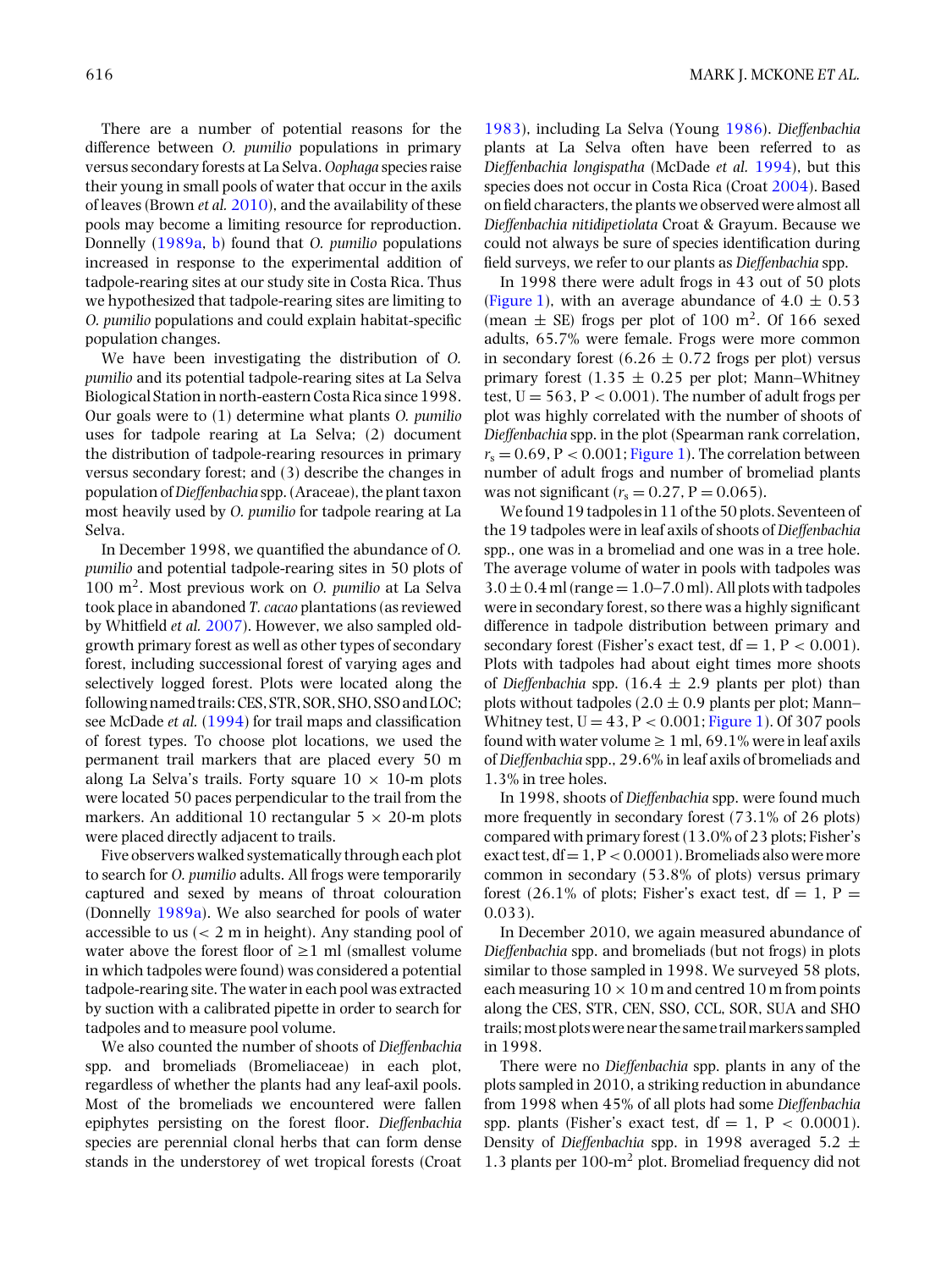There are a number of potential reasons for the difference between *O. pumilio* populations in primary versus secondary forests at La Selva. *Oophaga* species raise their young in small pools of water that occur in the axils of leaves (Brown *et al.* [2010\)](#page-4-0), and the availability of these pools may become a limiting resource for reproduction. Donnelly [\(1989a,](#page-4-0) [b\)](#page-4-0) found that *O. pumilio* populations increased in response to the experimental addition of tadpole-rearing sites at our study site in Costa Rica. Thus we hypothesized that tadpole-rearing sites are limiting to *O. pumilio* populations and could explain habitat-specific population changes.

We have been investigating the distribution of *O. pumilio* and its potential tadpole-rearing sites at La Selva Biological Station in north-eastern Costa Rica since 1998. Our goals were to (1) determine what plants *O. pumilio* uses for tadpole rearing at La Selva; (2) document the distribution of tadpole-rearing resources in primary versus secondary forest; and (3) describe the changes in population of*Dieffenbachia* spp. (Araceae), the plant taxon most heavily used by *O. pumilio* for tadpole rearing at La Selva.

In December 1998, we quantified the abundance of *O. pumilio* and potential tadpole-rearing sites in 50 plots of 100 m2. Most previous work on *O. pumilio* at La Selva took place in abandoned *T. cacao* plantations (as reviewed by Whitfield *et al.* [2007\)](#page-4-0). However, we also sampled oldgrowth primary forest as well as other types of secondary forest, including successional forest of varying ages and selectively logged forest. Plots were located along the following named trails: CES, STR, SOR, SHO, SSO and LOC; see McDade *et al.* [\(1994\)](#page-4-0) for trail maps and classification of forest types. To choose plot locations, we used the permanent trail markers that are placed every 50 m along La Selva's trails. Forty square  $10 \times 10$ -m plots were located 50 paces perpendicular to the trail from the markers. An additional 10 rectangular  $5 \times 20$ -m plots were placed directly adjacent to trails.

Five observers walked systematically through each plot to search for *O. pumilio* adults. All frogs were temporarily captured and sexed by means of throat colouration (Donnelly [1989a\)](#page-4-0). We also searched for pools of water accessible to us  $\left($  < 2 m in height). Any standing pool of water above the forest floor of  $\geq 1$  ml (smallest volume in which tadpoles were found) was considered a potential tadpole-rearing site. The water in each pool was extracted by suction with a calibrated pipette in order to search for tadpoles and to measure pool volume.

We also counted the number of shoots of *Dieffenbachia* spp. and bromeliads (Bromeliaceae) in each plot, regardless of whether the plants had any leaf-axil pools. Most of the bromeliads we encountered were fallen epiphytes persisting on the forest floor. *Dieffenbachia* species are perennial clonal herbs that can form dense stands in the understorey of wet tropical forests (Croat

[1983\)](#page-4-0), including La Selva (Young [1986\)](#page-4-0). *Dieffenbachia* plants at La Selva often have been referred to as *Dieffenbachia longispatha* (McDade *et al.* [1994\)](#page-4-0), but this species does not occur in Costa Rica (Croat [2004\)](#page-4-0). Based on field characters, the plants we observed were almost all *Dieffenbachia nitidipetiolata* Croat & Grayum. Because we could not always be sure of species identification during field surveys, we refer to our plants as *Dieffenbachia* spp.

In 1998 there were adult frogs in 43 out of 50 plots [\(Figure 1\)](#page-2-0), with an average abundance of  $4.0 \pm 0.53$ (mean  $\pm$  SE) frogs per plot of 100 m<sup>2</sup>. Of 166 sexed adults, 65.7% were female. Frogs were more common in secondary forest  $(6.26 \pm 0.72$  frogs per plot) versus primary forest  $(1.35 \pm 0.25$  per plot; Mann–Whitney test,  $U = 563$ ,  $P < 0.001$ ). The number of adult frogs per plot was highly correlated with the number of shoots of *Dieffenbachia* spp. in the plot (Spearman rank correlation,  $r_s = 0.69$ ,  $P < 0.001$ ; [Figure 1\)](#page-2-0). The correlation between number of adult frogs and number of bromeliad plants was not significant ( $r_s = 0.27$ , P = 0.065).

We found 19 tadpoles in 11 of the 50 plots. Seventeen of the 19 tadpoles were in leaf axils of shoots of *Dieffenbachia* spp., one was in a bromeliad and one was in a tree hole. The average volume of water in pools with tadpoles was  $3.0 \pm 0.4$  ml (range  $= 1.0 - 7.0$  ml). All plots with tadpoles were in secondary forest, so there was a highly significant difference in tadpole distribution between primary and secondary forest (Fisher's exact test,  $df = 1$ ,  $P < 0.001$ ). Plots with tadpoles had about eight times more shoots of *Dieffenbachia* spp.  $(16.4 \pm 2.9)$  plants per plot) than plots without tadpoles  $(2.0 \pm 0.9)$  plants per plot; Mann– Whitney test,  $U = 43$ ,  $P < 0.001$ ; [Figure 1\)](#page-2-0). Of 307 pools found with water volume  $\geq 1$  ml, 69.1% were in leaf axils of *Dieffenbachia* spp., 29.6% in leaf axils of bromeliads and 1.3% in tree holes.

In 1998, shoots of *Dieffenbachia* spp. were found much more frequently in secondary forest (73.1% of 26 plots) compared with primary forest (13.0% of 23 plots; Fisher's exact test,  $df = 1$ ,  $P < 0.0001$ ). Bromeliads also were more common in secondary (53.8% of plots) versus primary forest (26.1% of plots; Fisher's exact test,  $df = 1$ ,  $P =$ 0.033).

In December 2010, we again measured abundance of *Dieffenbachia* spp. and bromeliads (but not frogs) in plots similar to those sampled in 1998. We surveyed 58 plots, each measuring  $10 \times 10$  m and centred 10 m from points along the CES, STR, CEN, SSO, CCL, SOR, SUA and SHO trails;most plotswerenear the same trailmarkers sampled in 1998.

There were no *Dieffenbachia* spp. plants in any of the plots sampled in 2010, a striking reduction in abundance from 1998 when 45% of all plots had some *Dieffenbachia* spp. plants (Fisher's exact test,  $df = 1$ ,  $P < 0.0001$ ). Density of *Dieffenbachia* spp. in 1998 averaged 5.2 ± 1.3 plants per 100-m<sup>2</sup> plot. Bromeliad frequency did not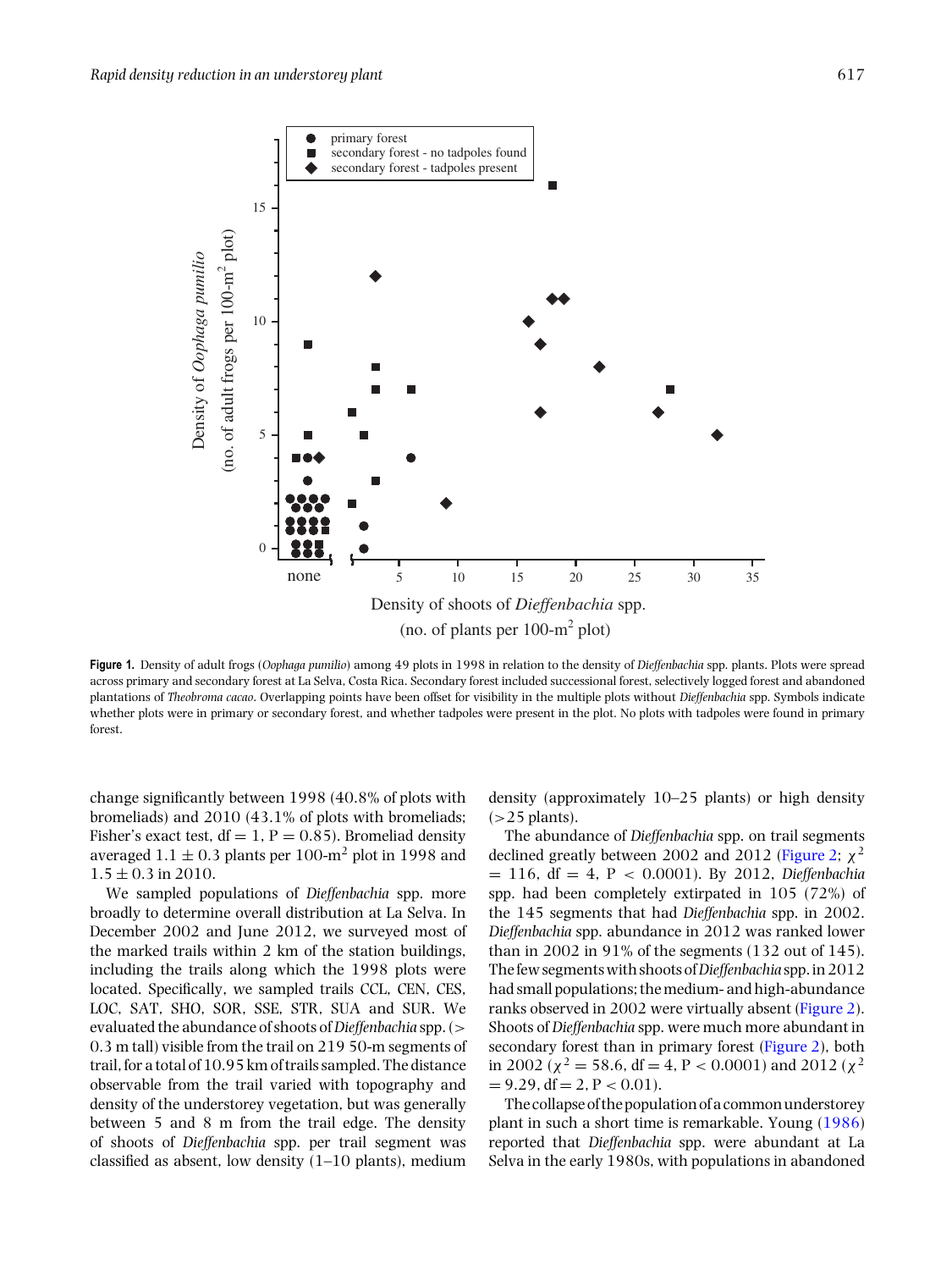<span id="page-2-0"></span>

**Figure 1.** Density of adult frogs (*Oophaga pumilio*) among 49 plots in 1998 in relation to the density of *Dieffenbachia* spp. plants. Plots were spread across primary and secondary forest at La Selva, Costa Rica. Secondary forest included successional forest, selectively logged forest and abandoned plantations of *Theobroma cacao*. Overlapping points have been offset for visibility in the multiple plots without *Dieffenbachia* spp. Symbols indicate whether plots were in primary or secondary forest, and whether tadpoles were present in the plot. No plots with tadpoles were found in primary forest.

change significantly between 1998 (40.8% of plots with bromeliads) and 2010 (43.1% of plots with bromeliads; Fisher's exact test,  $df = 1$ ,  $P = 0.85$ ). Bromeliad density averaged  $1.1 \pm 0.3$  plants per 100-m<sup>2</sup> plot in 1998 and  $1.5 \pm 0.3$  in 2010.

We sampled populations of *Dieffenbachia* spp. more broadly to determine overall distribution at La Selva. In December 2002 and June 2012, we surveyed most of the marked trails within 2 km of the station buildings, including the trails along which the 1998 plots were located. Specifically, we sampled trails CCL, CEN, CES, LOC, SAT, SHO, SOR, SSE, STR, SUA and SUR. We evaluated the abundance of shoots of*Dieffenbachia* spp. (> 0.3 m tall) visible from the trail on 219 50-m segments of trail, for a total of 10.95 km of trails sampled. The distance observable from the trail varied with topography and density of the understorey vegetation, but was generally between 5 and 8 m from the trail edge. The density of shoots of *Dieffenbachia* spp. per trail segment was classified as absent, low density  $(1-10$  plants), medium

density (approximately 10–25 plants) or high density  $(>25$  plants).

The abundance of *Dieffenbachia* spp. on trail segments declined greatly between 2002 and 2012 [\(Figure 2;](#page-3-0)  $\chi^2$ = 116, df = 4, P < 0.0001). By 2012, *Dieffenbachia* spp. had been completely extirpated in 105 (72%) of the 145 segments that had *Dieffenbachia* spp. in 2002. *Dieffenbachia* spp. abundance in 2012 was ranked lower than in 2002 in 91% of the segments (132 out of 145). The few segments with shoots of*Dieffenbachia* spp. in 2012 had small populations; the medium- and high-abundance ranks observed in 2002 were virtually absent [\(Figure 2\)](#page-3-0). Shoots of *Dieffenbachia* spp. were much more abundant in secondary forest than in primary forest [\(Figure 2\)](#page-3-0), both in 2002 ( $\chi^2$  = 58.6, df = 4, P < 0.0001) and 2012 ( $\chi^2$  $= 9.29$ , df  $= 2$ ,  $P < 0.01$ ).

The collapse of the population of a common understorey plant in such a short time is remarkable. Young [\(1986\)](#page-4-0) reported that *Dieffenbachia* spp. were abundant at La Selva in the early 1980s, with populations in abandoned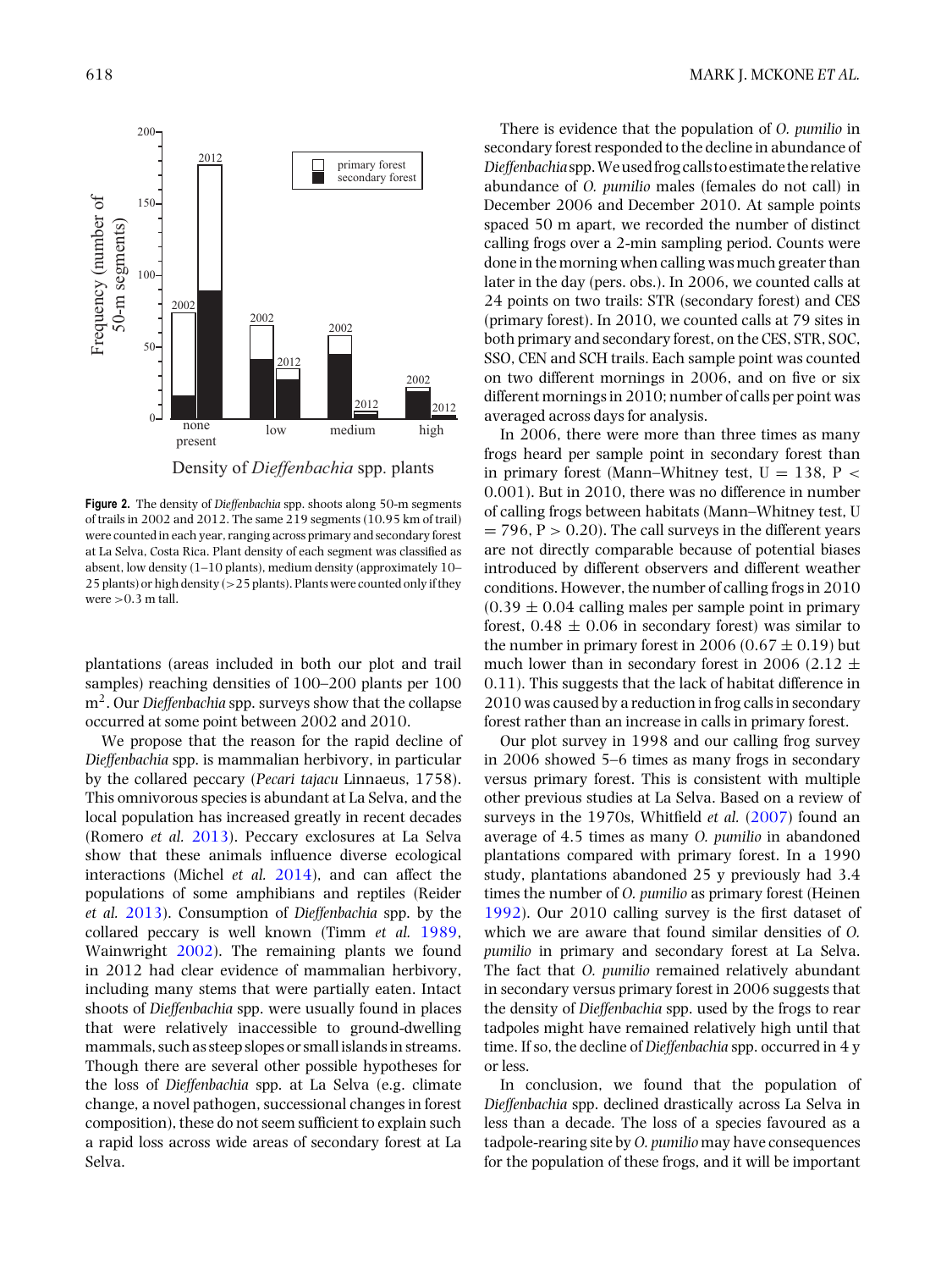<span id="page-3-0"></span>

Density of *Dieffenbachia* spp. plants

**Figure 2.** The density of *Dieffenbachia* spp. shoots along 50-m segments of trails in 2002 and 2012. The same 219 segments (10.95 km of trail) were counted in each year, ranging across primary and secondary forest at La Selva, Costa Rica. Plant density of each segment was classified as absent, low density  $(1-10$  plants), medium density (approximately  $10-$ 25 plants) or high density (>25 plants). Plants were counted only if they were  $>0.3$  m tall.

plantations (areas included in both our plot and trail samples) reaching densities of 100–200 plants per 100 m<sup>2</sup>. Our *Dieffenbachia* spp. surveys show that the collapse occurred at some point between 2002 and 2010.

We propose that the reason for the rapid decline of *Dieffenbachia* spp. is mammalian herbivory, in particular by the collared peccary (*Pecari tajacu* Linnaeus, 1758). This omnivorous species is abundant at La Selva, and the local population has increased greatly in recent decades (Romero *et al.* [2013\)](#page-4-0). Peccary exclosures at La Selva show that these animals influence diverse ecological interactions (Michel *et al.* [2014\)](#page-4-0), and can affect the populations of some amphibians and reptiles (Reider *et al.* [2013\)](#page-4-0). Consumption of *Dieffenbachia* spp. by the collared peccary is well known (Timm *et al.* [1989,](#page-4-0) Wainwright [2002\)](#page-4-0). The remaining plants we found in 2012 had clear evidence of mammalian herbivory, including many stems that were partially eaten. Intact shoots of *Dieffenbachia* spp. were usually found in places that were relatively inaccessible to ground-dwelling mammals, such as steep slopes or small islands in streams. Though there are several other possible hypotheses for the loss of *Dieffenbachia* spp. at La Selva (e.g. climate change, a novel pathogen, successional changes in forest composition), these do not seem sufficient to explain such a rapid loss across wide areas of secondary forest at La Selva.

There is evidence that the population of *O. pumilio* in secondary forest responded to the decline in abundance of *Dieffenbachia* spp.Weusedfrog calls to estimate the relative abundance of *O. pumilio* males (females do not call) in December 2006 and December 2010. At sample points spaced 50 m apart, we recorded the number of distinct calling frogs over a 2-min sampling period. Counts were done in the morning when calling was much greater than later in the day (pers. obs.). In 2006, we counted calls at 24 points on two trails: STR (secondary forest) and CES (primary forest). In 2010, we counted calls at 79 sites in both primary and secondary forest, on the CES, STR, SOC, SSO, CEN and SCH trails. Each sample point was counted on two different mornings in 2006, and on five or six different mornings in 2010; number of calls per point was averaged across days for analysis.

In 2006, there were more than three times as many frogs heard per sample point in secondary forest than in primary forest (Mann–Whitney test,  $U = 138$ ,  $P <$ 0.001). But in 2010, there was no difference in number of calling frogs between habitats (Mann–Whitney test, U  $= 796$ ,  $P > 0.20$ ). The call surveys in the different years are not directly comparable because of potential biases introduced by different observers and different weather conditions. However, the number of calling frogs in 2010  $(0.39 \pm 0.04$  calling males per sample point in primary forest,  $0.48 \pm 0.06$  in secondary forest) was similar to the number in primary forest in 2006 (0.67  $\pm$  0.19) but much lower than in secondary forest in 2006 (2.12  $\pm$ 0.11). This suggests that the lack of habitat difference in 2010 was caused by a reduction in frog calls in secondary forest rather than an increase in calls in primary forest.

Our plot survey in 1998 and our calling frog survey in 2006 showed 5–6 times as many frogs in secondary versus primary forest. This is consistent with multiple other previous studies at La Selva. Based on a review of surveys in the 1970s, Whitfield *et al.* [\(2007\)](#page-4-0) found an average of 4.5 times as many *O. pumilio* in abandoned plantations compared with primary forest. In a 1990 study, plantations abandoned 25 y previously had 3.4 times the number of *O. pumilio* as primary forest (Heinen [1992\)](#page-4-0). Our 2010 calling survey is the first dataset of which we are aware that found similar densities of *O. pumilio* in primary and secondary forest at La Selva. The fact that *O. pumilio* remained relatively abundant in secondary versus primary forest in 2006 suggests that the density of *Dieffenbachia* spp. used by the frogs to rear tadpoles might have remained relatively high until that time. If so, the decline of *Dieffenbachia* spp. occurred in 4 y or less.

In conclusion, we found that the population of *Dieffenbachia* spp. declined drastically across La Selva in less than a decade. The loss of a species favoured as a tadpole-rearing site by *O. pumilio* may have consequences for the population of these frogs, and it will be important